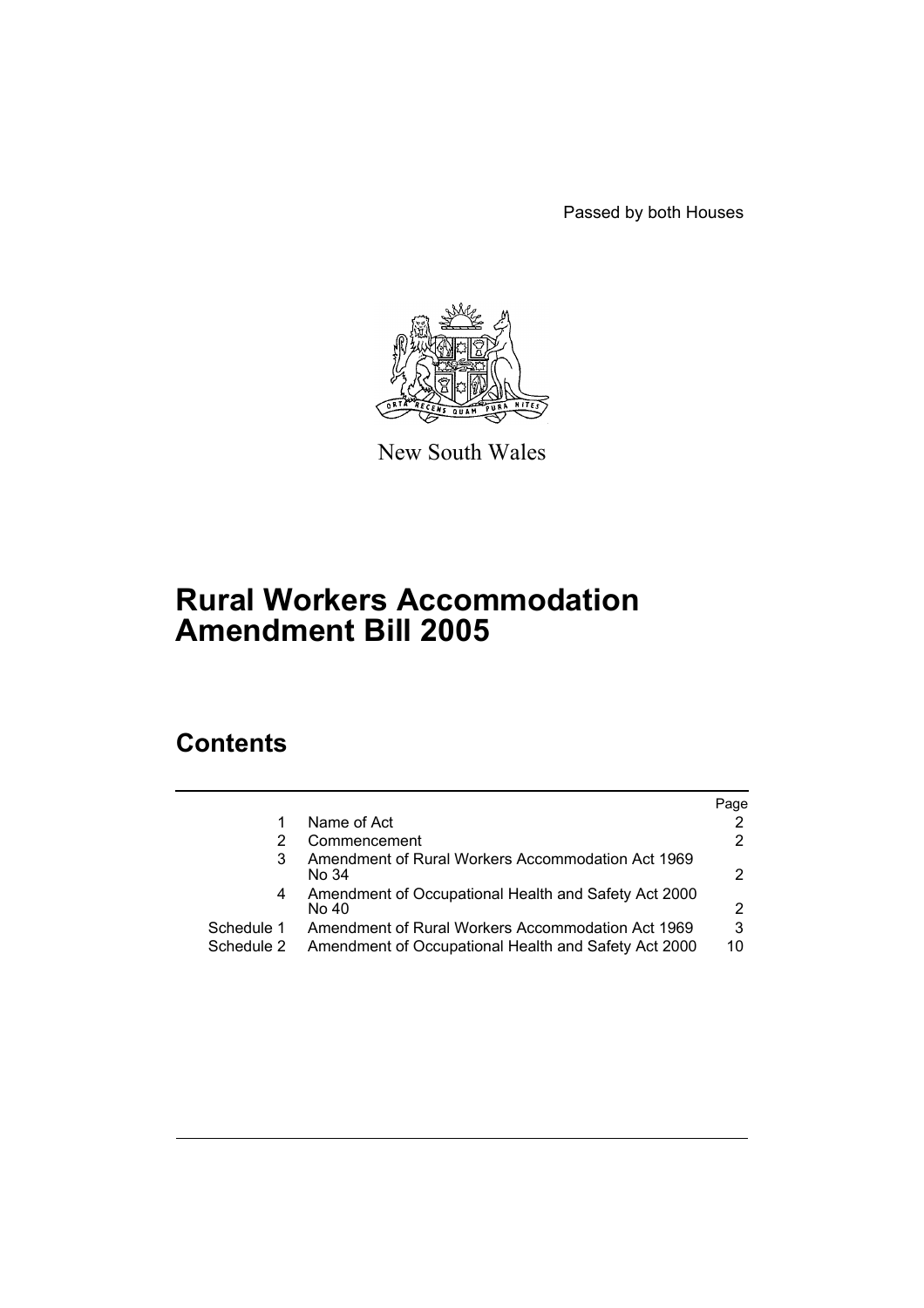Passed by both Houses



New South Wales

# **Rural Workers Accommodation Amendment Bill 2005**

# **Contents**

|                          |                                                                                                           | Page           |
|--------------------------|-----------------------------------------------------------------------------------------------------------|----------------|
|                          | Name of Act                                                                                               |                |
|                          | Commencement                                                                                              | $\overline{2}$ |
|                          | Amendment of Rural Workers Accommodation Act 1969<br>No 34                                                | 2              |
| 4                        | Amendment of Occupational Health and Safety Act 2000<br>No 40                                             | 2              |
| Schedule 1<br>Schedule 2 | Amendment of Rural Workers Accommodation Act 1969<br>Amendment of Occupational Health and Safety Act 2000 | 3<br>10        |
|                          |                                                                                                           |                |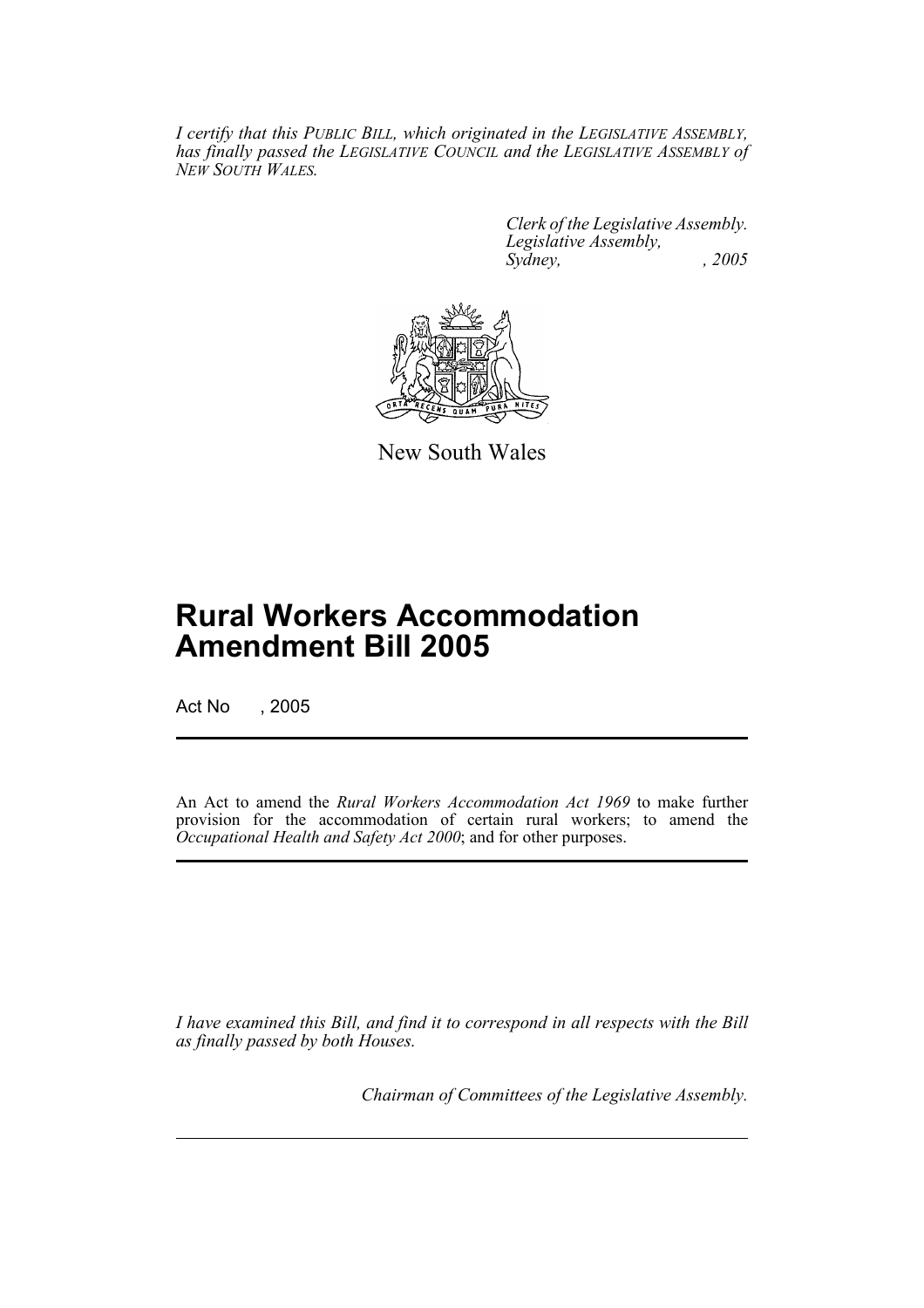*I certify that this PUBLIC BILL, which originated in the LEGISLATIVE ASSEMBLY, has finally passed the LEGISLATIVE COUNCIL and the LEGISLATIVE ASSEMBLY of NEW SOUTH WALES.*

> *Clerk of the Legislative Assembly. Legislative Assembly, Sydney, , 2005*



New South Wales

# **Rural Workers Accommodation Amendment Bill 2005**

Act No , 2005

An Act to amend the *Rural Workers Accommodation Act 1969* to make further provision for the accommodation of certain rural workers; to amend the *Occupational Health and Safety Act 2000*; and for other purposes.

*I have examined this Bill, and find it to correspond in all respects with the Bill as finally passed by both Houses.*

*Chairman of Committees of the Legislative Assembly.*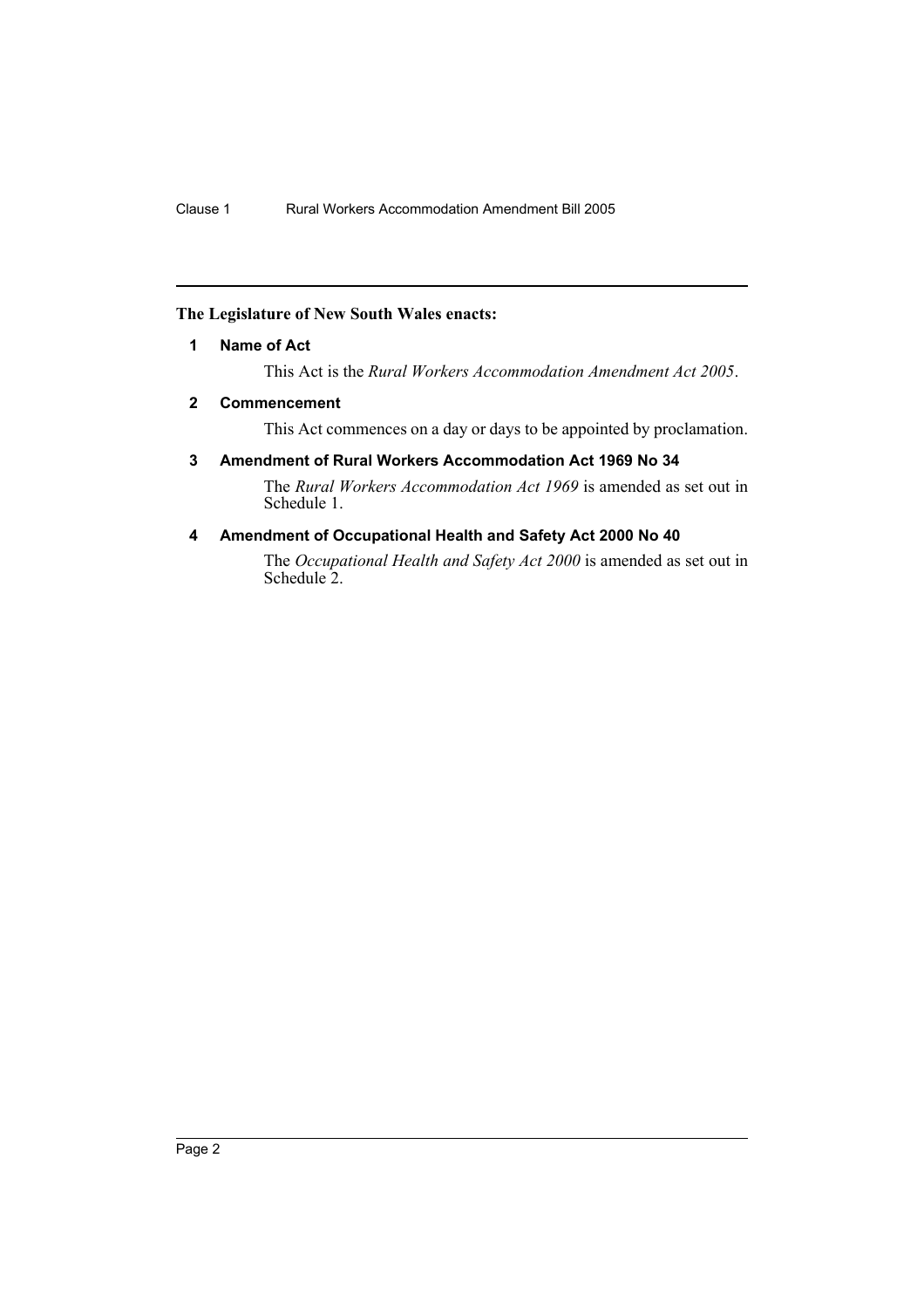## **The Legislature of New South Wales enacts:**

#### **1 Name of Act**

This Act is the *Rural Workers Accommodation Amendment Act 2005*.

## **2 Commencement**

This Act commences on a day or days to be appointed by proclamation.

## **3 Amendment of Rural Workers Accommodation Act 1969 No 34**

The *Rural Workers Accommodation Act 1969* is amended as set out in Schedule 1.

#### **4 Amendment of Occupational Health and Safety Act 2000 No 40**

The *Occupational Health and Safety Act 2000* is amended as set out in Schedule 2.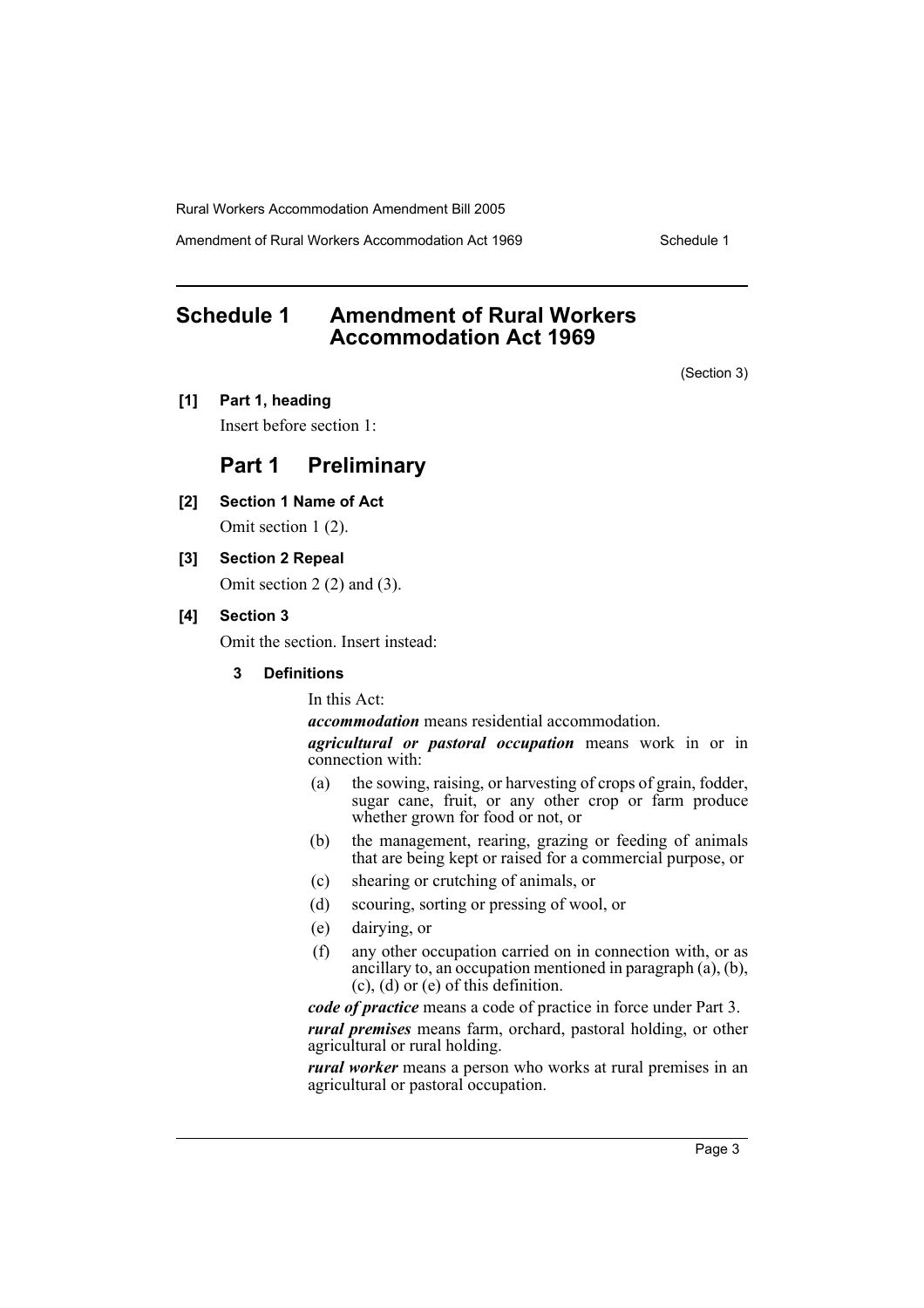Amendment of Rural Workers Accommodation Act 1969 Schedule 1

# **Schedule 1 Amendment of Rural Workers Accommodation Act 1969**

(Section 3)

**[1] Part 1, heading**

Insert before section 1:

## **Part 1 Preliminary**

**[2] Section 1 Name of Act**

Omit section 1 (2).

**[3] Section 2 Repeal**

Omit section 2 (2) and (3).

## **[4] Section 3**

Omit the section. Insert instead:

#### **3 Definitions**

In this Act:

*accommodation* means residential accommodation.

*agricultural or pastoral occupation* means work in or in connection with:

- (a) the sowing, raising, or harvesting of crops of grain, fodder, sugar cane, fruit, or any other crop or farm produce whether grown for food or not, or
- (b) the management, rearing, grazing or feeding of animals that are being kept or raised for a commercial purpose, or
- (c) shearing or crutching of animals, or
- (d) scouring, sorting or pressing of wool, or
- (e) dairying, or
- (f) any other occupation carried on in connection with, or as ancillary to, an occupation mentioned in paragraph (a), (b), (c), (d) or (e) of this definition.

*code of practice* means a code of practice in force under Part 3. *rural premises* means farm, orchard, pastoral holding, or other

agricultural or rural holding. *rural worker* means a person who works at rural premises in an

agricultural or pastoral occupation.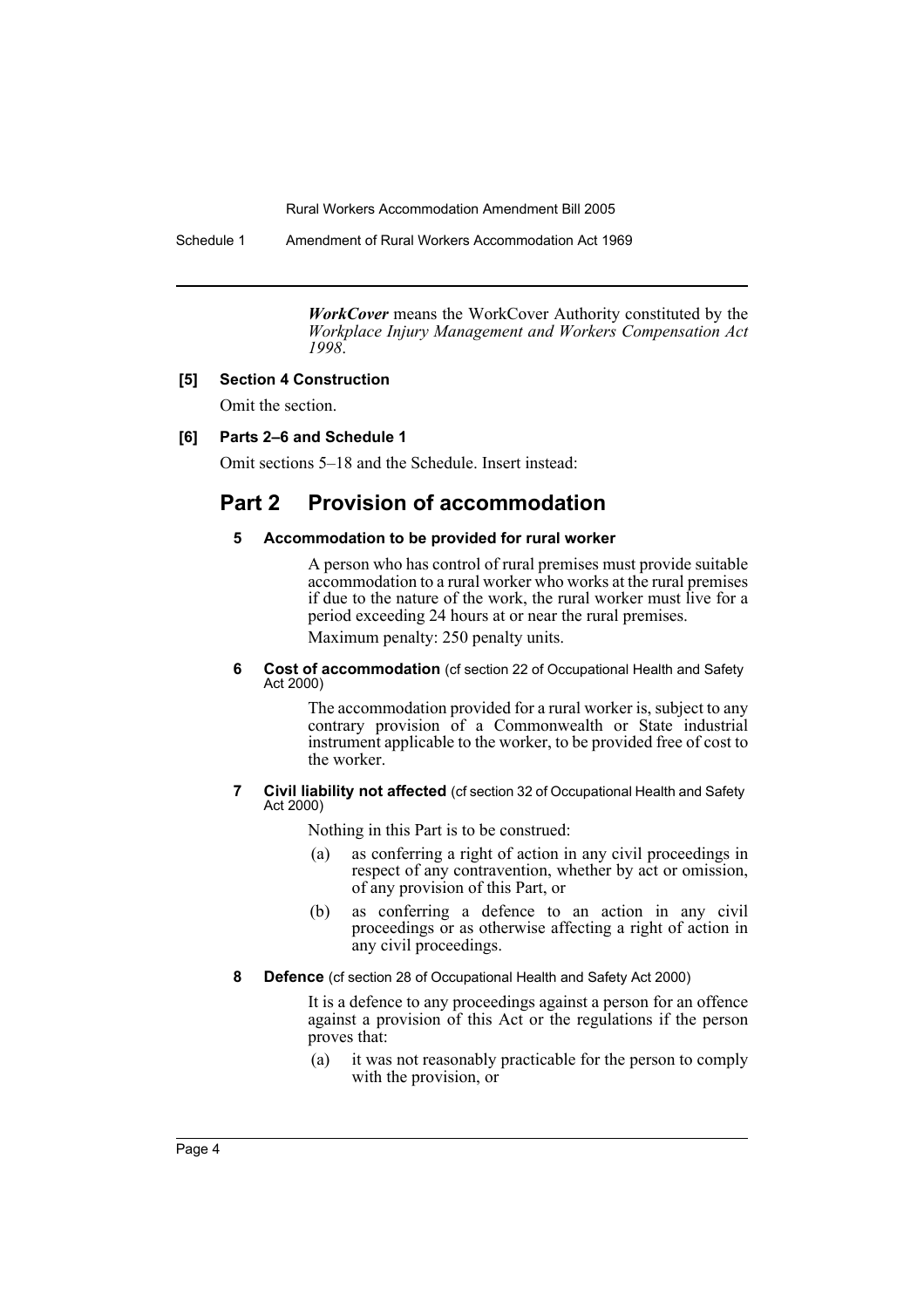Schedule 1 Amendment of Rural Workers Accommodation Act 1969

*WorkCover* means the WorkCover Authority constituted by the *Workplace Injury Management and Workers Compensation Act 1998*.

## **[5] Section 4 Construction**

Omit the section.

## **[6] Parts 2–6 and Schedule 1**

Omit sections 5–18 and the Schedule. Insert instead:

# **Part 2 Provision of accommodation**

#### **5 Accommodation to be provided for rural worker**

A person who has control of rural premises must provide suitable accommodation to a rural worker who works at the rural premises if due to the nature of the work, the rural worker must live for a period exceeding 24 hours at or near the rural premises.

Maximum penalty: 250 penalty units.

**6 Cost of accommodation** (cf section 22 of Occupational Health and Safety Act 2000)

> The accommodation provided for a rural worker is, subject to any contrary provision of a Commonwealth or State industrial instrument applicable to the worker, to be provided free of cost to the worker.

#### **7 Civil liability not affected** (cf section 32 of Occupational Health and Safety Act 2000)

Nothing in this Part is to be construed:

- (a) as conferring a right of action in any civil proceedings in respect of any contravention, whether by act or omission, of any provision of this Part, or
- (b) as conferring a defence to an action in any civil proceedings or as otherwise affecting a right of action in any civil proceedings.
- **8 Defence** (cf section 28 of Occupational Health and Safety Act 2000)

It is a defence to any proceedings against a person for an offence against a provision of this Act or the regulations if the person proves that:

(a) it was not reasonably practicable for the person to comply with the provision, or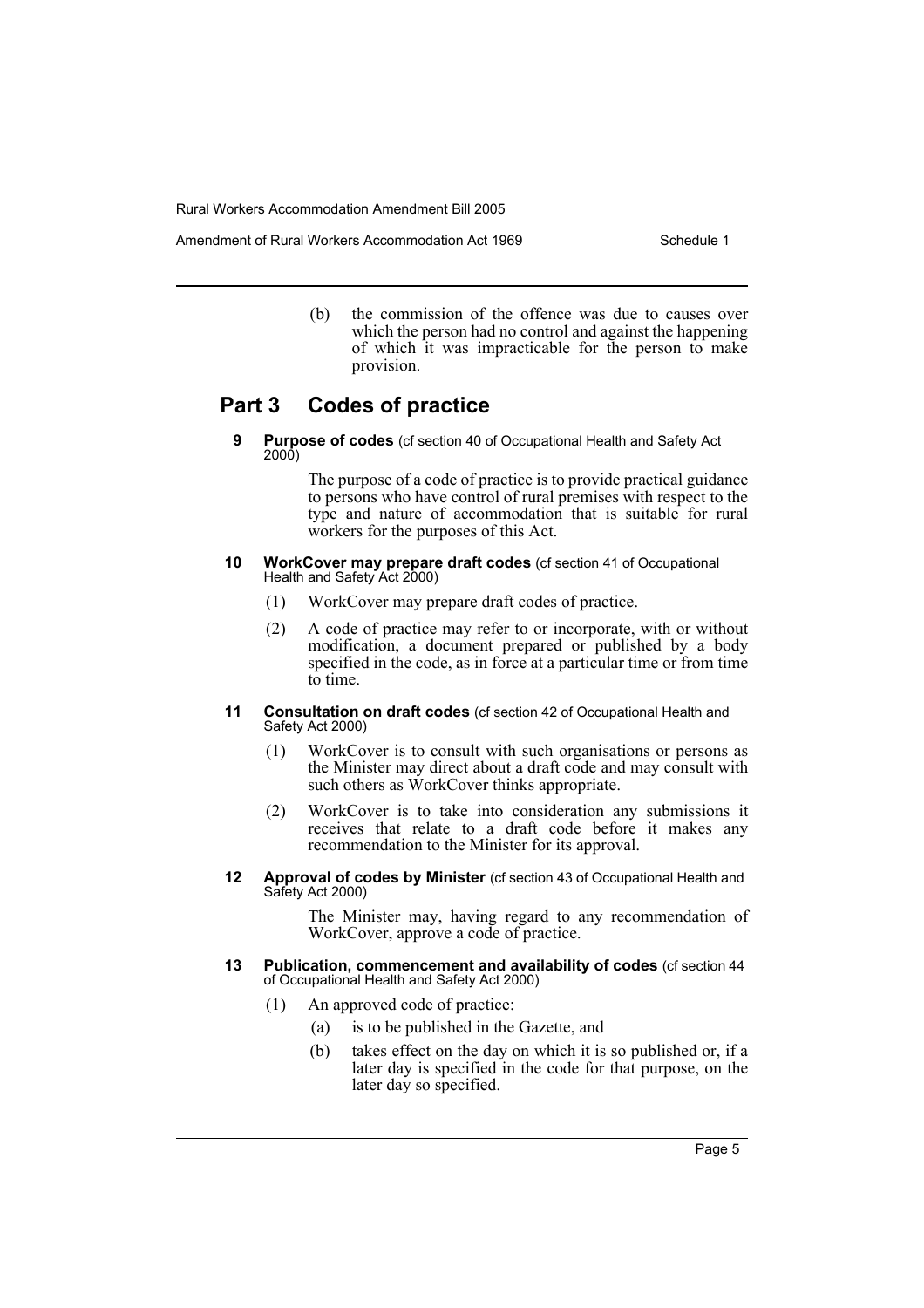Amendment of Rural Workers Accommodation Act 1969 Schedule 1

(b) the commission of the offence was due to causes over which the person had no control and against the happening of which it was impracticable for the person to make provision.

# **Part 3 Codes of practice**

**9 Purpose of codes** (cf section 40 of Occupational Health and Safety Act 2000)

> The purpose of a code of practice is to provide practical guidance to persons who have control of rural premises with respect to the type and nature of accommodation that is suitable for rural workers for the purposes of this Act.

- **10 WorkCover may prepare draft codes** (cf section 41 of Occupational Health and Safety Act 2000)
	- (1) WorkCover may prepare draft codes of practice.
	- (2) A code of practice may refer to or incorporate, with or without modification, a document prepared or published by a body specified in the code, as in force at a particular time or from time to time.
- **11 Consultation on draft codes** (cf section 42 of Occupational Health and Safety Act 2000)
	- (1) WorkCover is to consult with such organisations or persons as the Minister may direct about a draft code and may consult with such others as WorkCover thinks appropriate.
	- (2) WorkCover is to take into consideration any submissions it receives that relate to a draft code before it makes any recommendation to the Minister for its approval.
- **12 Approval of codes by Minister** (cf section 43 of Occupational Health and Safety Act 2000)

The Minister may, having regard to any recommendation of WorkCover, approve a code of practice.

- **13 Publication, commencement and availability of codes** (cf section 44 of Occupational Health and Safety Act 2000)
	- (1) An approved code of practice:
		- (a) is to be published in the Gazette, and
		- (b) takes effect on the day on which it is so published or, if a later day is specified in the code for that purpose, on the later day so specified.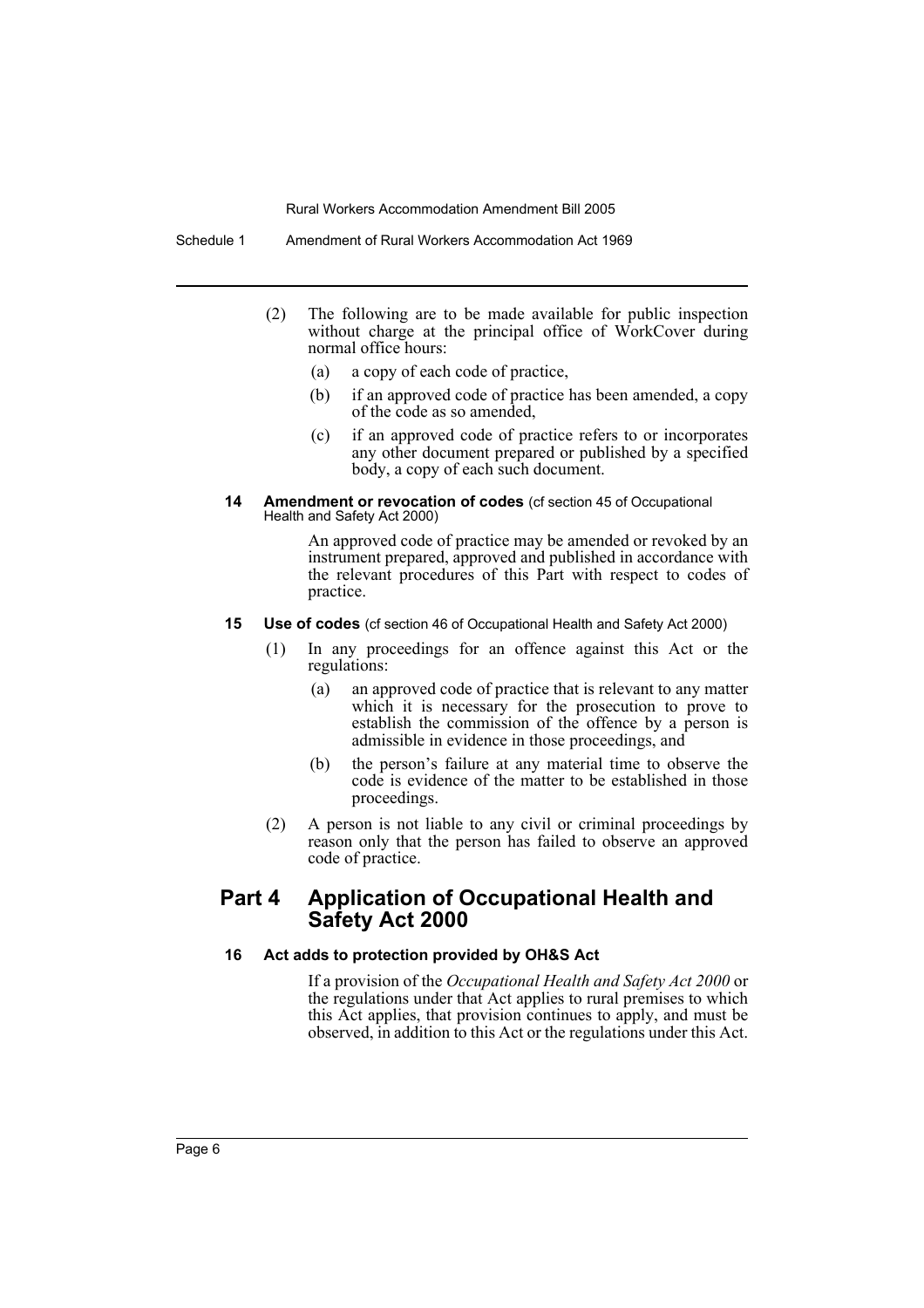Schedule 1 Amendment of Rural Workers Accommodation Act 1969

- (2) The following are to be made available for public inspection without charge at the principal office of WorkCover during normal office hours:
	- (a) a copy of each code of practice,
	- (b) if an approved code of practice has been amended, a copy of the code as so amended,
	- (c) if an approved code of practice refers to or incorporates any other document prepared or published by a specified body, a copy of each such document.
- **14 Amendment or revocation of codes** (cf section 45 of Occupational Health and Safety Act 2000)

An approved code of practice may be amended or revoked by an instrument prepared, approved and published in accordance with the relevant procedures of this Part with respect to codes of practice.

- **15 Use of codes** (cf section 46 of Occupational Health and Safety Act 2000)
	- (1) In any proceedings for an offence against this Act or the regulations:
		- (a) an approved code of practice that is relevant to any matter which it is necessary for the prosecution to prove to establish the commission of the offence by a person is admissible in evidence in those proceedings, and
		- (b) the person's failure at any material time to observe the code is evidence of the matter to be established in those proceedings.
	- (2) A person is not liable to any civil or criminal proceedings by reason only that the person has failed to observe an approved code of practice.

## **Part 4 Application of Occupational Health and Safety Act 2000**

#### **16 Act adds to protection provided by OH&S Act**

If a provision of the *Occupational Health and Safety Act 2000* or the regulations under that Act applies to rural premises to which this Act applies, that provision continues to apply, and must be observed, in addition to this Act or the regulations under this Act.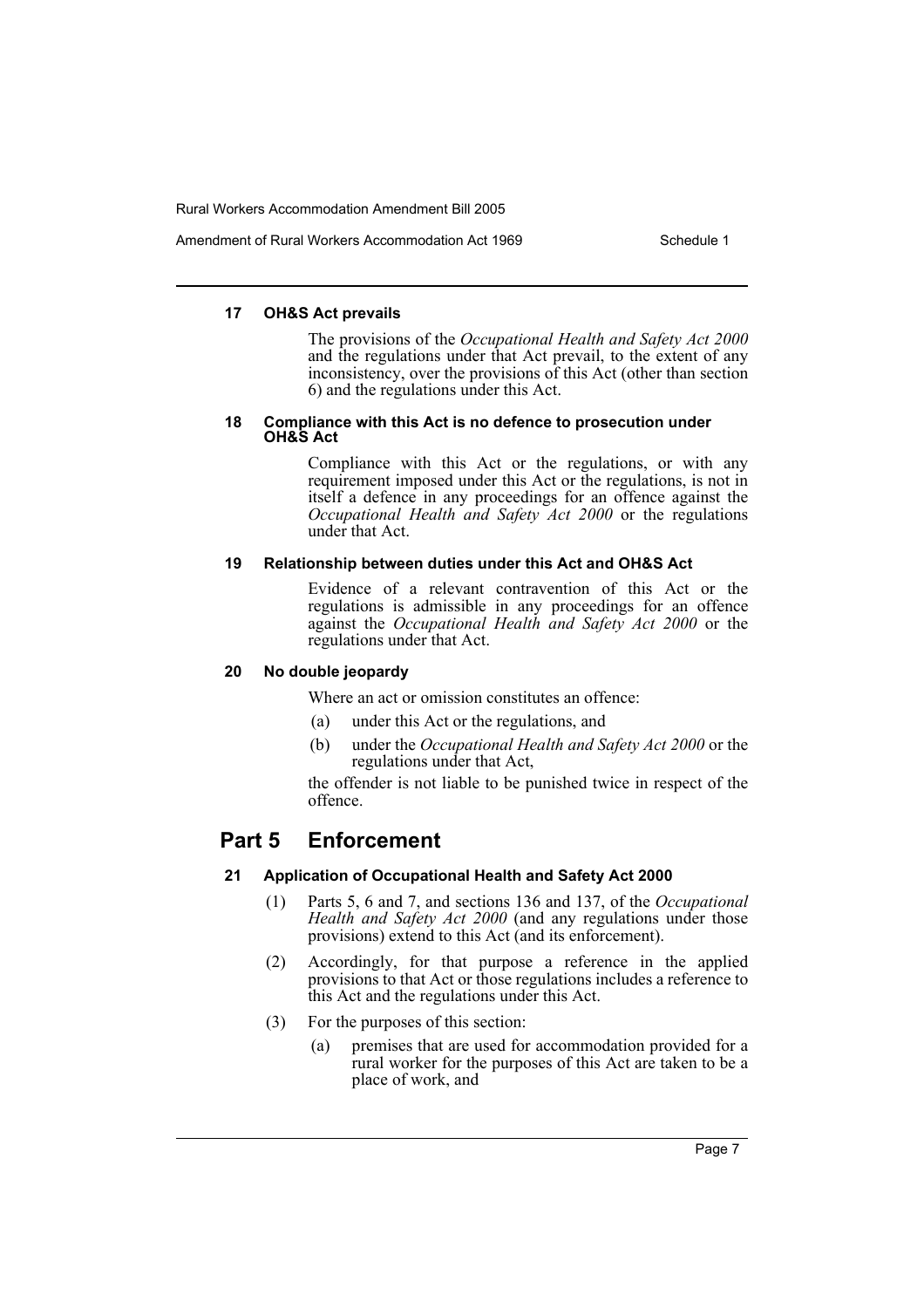Amendment of Rural Workers Accommodation Act 1969 Schedule 1

#### **17 OH&S Act prevails**

The provisions of the *Occupational Health and Safety Act 2000* and the regulations under that Act prevail, to the extent of any inconsistency, over the provisions of this Act (other than section 6) and the regulations under this Act.

#### **18 Compliance with this Act is no defence to prosecution under OH&S Act**

Compliance with this Act or the regulations, or with any requirement imposed under this Act or the regulations, is not in itself a defence in any proceedings for an offence against the *Occupational Health and Safety Act 2000* or the regulations under that Act.

## **19 Relationship between duties under this Act and OH&S Act**

Evidence of a relevant contravention of this Act or the regulations is admissible in any proceedings for an offence against the *Occupational Health and Safety Act 2000* or the regulations under that Act.

## **20 No double jeopardy**

Where an act or omission constitutes an offence:

- (a) under this Act or the regulations, and
- (b) under the *Occupational Health and Safety Act 2000* or the regulations under that Act,

the offender is not liable to be punished twice in respect of the offence.

# **Part 5 Enforcement**

## **21 Application of Occupational Health and Safety Act 2000**

- (1) Parts 5, 6 and 7, and sections 136 and 137, of the *Occupational Health and Safety Act 2000* (and any regulations under those provisions) extend to this Act (and its enforcement).
- (2) Accordingly, for that purpose a reference in the applied provisions to that Act or those regulations includes a reference to this Act and the regulations under this Act.
- (3) For the purposes of this section:
	- (a) premises that are used for accommodation provided for a rural worker for the purposes of this Act are taken to be a place of work, and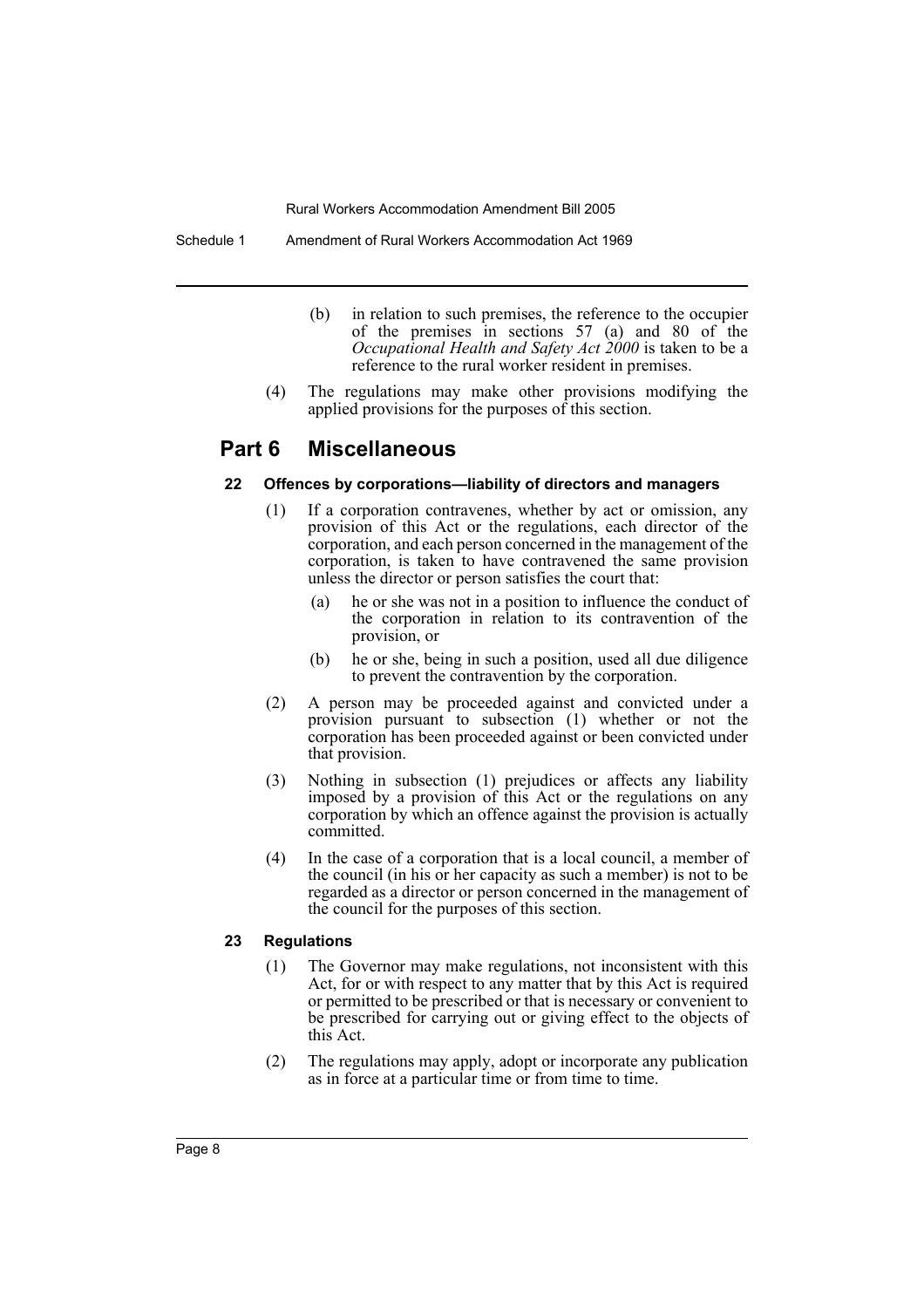Schedule 1 Amendment of Rural Workers Accommodation Act 1969

- (b) in relation to such premises, the reference to the occupier of the premises in sections 57 (a) and 80 of the *Occupational Health and Safety Act 2000* is taken to be a reference to the rural worker resident in premises.
- (4) The regulations may make other provisions modifying the applied provisions for the purposes of this section.

## **Part 6 Miscellaneous**

#### **22 Offences by corporations—liability of directors and managers**

- (1) If a corporation contravenes, whether by act or omission, any provision of this Act or the regulations, each director of the corporation, and each person concerned in the management of the corporation, is taken to have contravened the same provision unless the director or person satisfies the court that:
	- (a) he or she was not in a position to influence the conduct of the corporation in relation to its contravention of the provision, or
	- (b) he or she, being in such a position, used all due diligence to prevent the contravention by the corporation.
- (2) A person may be proceeded against and convicted under a provision pursuant to subsection (1) whether or not the corporation has been proceeded against or been convicted under that provision.
- (3) Nothing in subsection (1) prejudices or affects any liability imposed by a provision of this Act or the regulations on any corporation by which an offence against the provision is actually committed.
- (4) In the case of a corporation that is a local council, a member of the council (in his or her capacity as such a member) is not to be regarded as a director or person concerned in the management of the council for the purposes of this section.

#### **23 Regulations**

- (1) The Governor may make regulations, not inconsistent with this Act, for or with respect to any matter that by this Act is required or permitted to be prescribed or that is necessary or convenient to be prescribed for carrying out or giving effect to the objects of this Act.
- (2) The regulations may apply, adopt or incorporate any publication as in force at a particular time or from time to time.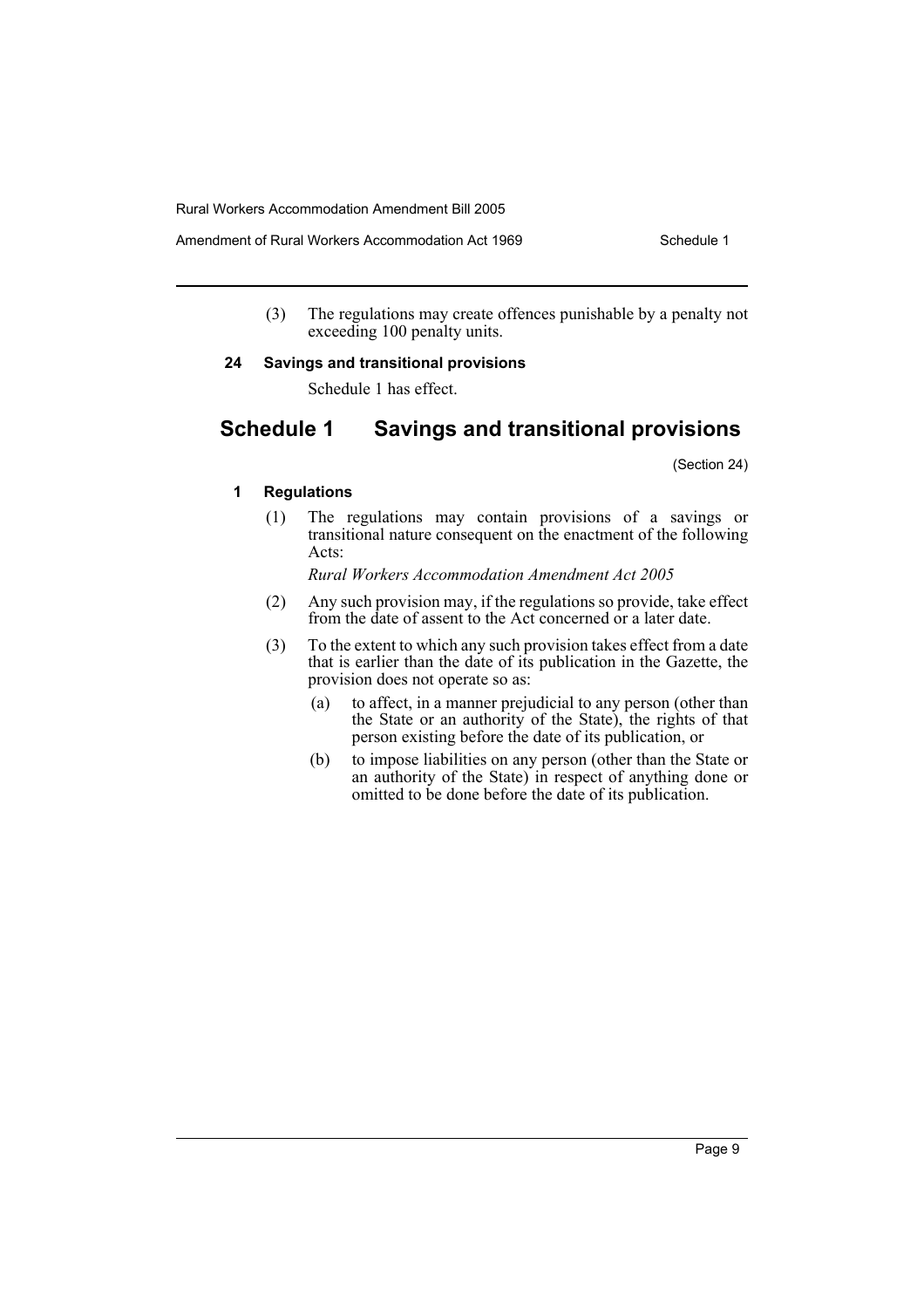Amendment of Rural Workers Accommodation Act 1969 Schedule 1

(3) The regulations may create offences punishable by a penalty not exceeding 100 penalty units.

#### **24 Savings and transitional provisions**

Schedule 1 has effect.

# **Schedule 1 Savings and transitional provisions**

(Section 24)

#### **1 Regulations**

(1) The regulations may contain provisions of a savings or transitional nature consequent on the enactment of the following Acts:

*Rural Workers Accommodation Amendment Act 2005*

- (2) Any such provision may, if the regulations so provide, take effect from the date of assent to the Act concerned or a later date.
- (3) To the extent to which any such provision takes effect from a date that is earlier than the date of its publication in the Gazette, the provision does not operate so as:
	- (a) to affect, in a manner prejudicial to any person (other than the State or an authority of the State), the rights of that person existing before the date of its publication, or
	- (b) to impose liabilities on any person (other than the State or an authority of the State) in respect of anything done or omitted to be done before the date of its publication.